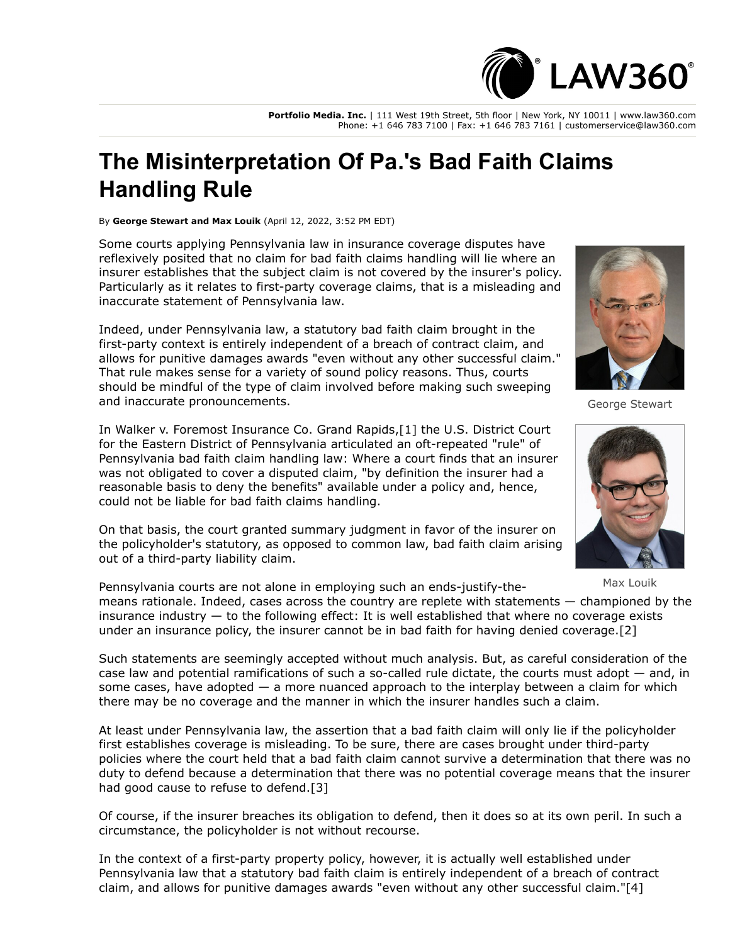

**Portfolio Media. Inc.** | 111 West 19th Street, 5th floor | New York, NY 10011 | www.law360.com Phone: +1 646 783 7100 | Fax: +1 646 783 7161 | customerservice@law360.com

## **The Misinterpretation Of Pa.'s Bad Faith Claims Handling Rule**

By **George Stewart and Max Louik** (April 12, 2022, 3:52 PM EDT)

Some courts applying Pennsylvania law in insurance coverage disputes have reflexively posited that no claim for bad faith claims handling will lie where an insurer establishes that the subject claim is not covered by the insurer's policy. Particularly as it relates to first-party coverage claims, that is a misleading and inaccurate statement of Pennsylvania law.

Indeed, under Pennsylvania law, a statutory bad faith claim brought in the first-party context is entirely independent of a breach of contract claim, and allows for punitive damages awards "even without any other successful claim." That rule makes sense for a variety of sound policy reasons. Thus, courts should be mindful of the type of claim involved before making such sweeping and inaccurate pronouncements.

[In Walker v.](https://www.law360.com/agencies/u-s-district-court-for-the-eastern-district-of-pennsylvania) [Foremost Insurance Co](https://www.law360.com/companies/foremost-insurance-co)[. Grand Rapids,\[1\] the U.S. District Court](https://www.law360.com/agencies/u-s-district-court-for-the-eastern-district-of-pennsylvania) for the Eastern District of Pennsylvania articulated an oft-repeated "rule" of Pennsylvania bad faith claim handling law: Where a court finds that an insurer was not obligated to cover a disputed claim, "by definition the insurer had a reasonable basis to deny the benefits" available under a policy and, hence, could not be liable for bad faith claims handling.

On that basis, the court granted summary judgment in favor of the insurer on the policyholder's statutory, as opposed to common law, bad faith claim arising out of a third-party liability claim.



George Stewart



Max Louik

Pennsylvania courts are not alone in employing such an ends-justify-themeans rationale. Indeed, cases across the country are replete with statements — championed by the insurance industry — to the following effect: It is well established that where no coverage exists under an insurance policy, the insurer cannot be in bad faith for having denied coverage.[2]

Such statements are seemingly accepted without much analysis. But, as careful consideration of the case law and potential ramifications of such a so-called rule dictate, the courts must adopt  $-$  and, in some cases, have adopted  $-$  a more nuanced approach to the interplay between a claim for which there may be no coverage and the manner in which the insurer handles such a claim.

At least under Pennsylvania law, the assertion that a bad faith claim will only lie if the policyholder first establishes coverage is misleading. To be sure, there are cases brought under third-party policies where the court held that a bad faith claim cannot survive a determination that there was no duty to defend because a determination that there was no potential coverage means that the insurer had good cause to refuse to defend.[3]

Of course, if the insurer breaches its obligation to defend, then it does so at its own peril. In such a circumstance, the policyholder is not without recourse.

In the context of a first-party property policy, however, it is actually well established under Pennsylvania law that a statutory bad faith claim is entirely independent of a breach of contract claim, and allows for punitive damages awards "even without any other successful claim."[4]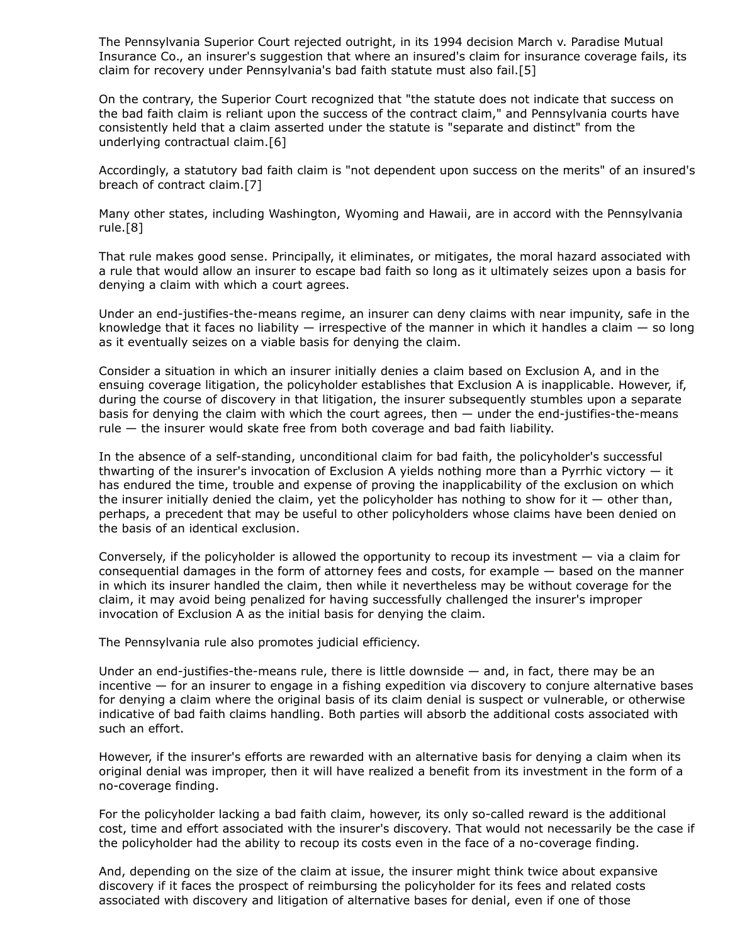The Pennsylvania Superior Court rejected outright, in its 1994 decision March v. Paradise Mutual Insurance Co., an insurer's suggestion that where an insured's claim for insurance coverage fails, its claim for recovery under Pennsylvania's bad faith statute must also fail.[5]

On the contrary, the Superior Court recognized that "the statute does not indicate that success on the bad faith claim is reliant upon the success of the contract claim," and Pennsylvania courts have consistently held that a claim asserted under the statute is "separate and distinct" from the underlying contractual claim.[6]

Accordingly, a statutory bad faith claim is "not dependent upon success on the merits" of an insured's breach of contract claim.[7]

Many other states, including Washington, Wyoming and Hawaii, are in accord with the Pennsylvania rule.[8]

That rule makes good sense. Principally, it eliminates, or mitigates, the moral hazard associated with a rule that would allow an insurer to escape bad faith so long as it ultimately seizes upon a basis for denying a claim with which a court agrees.

Under an end-justifies-the-means regime, an insurer can deny claims with near impunity, safe in the knowledge that it faces no liability  $-$  irrespective of the manner in which it handles a claim  $-$  so long as it eventually seizes on a viable basis for denying the claim.

Consider a situation in which an insurer initially denies a claim based on Exclusion A, and in the ensuing coverage litigation, the policyholder establishes that Exclusion A is inapplicable. However, if, during the course of discovery in that litigation, the insurer subsequently stumbles upon a separate basis for denying the claim with which the court agrees, then — under the end-justifies-the-means rule — the insurer would skate free from both coverage and bad faith liability.

In the absence of a self-standing, unconditional claim for bad faith, the policyholder's successful thwarting of the insurer's invocation of Exclusion A yields nothing more than a Pyrrhic victory — it has endured the time, trouble and expense of proving the inapplicability of the exclusion on which the insurer initially denied the claim, yet the policyholder has nothing to show for it  $-$  other than, perhaps, a precedent that may be useful to other policyholders whose claims have been denied on the basis of an identical exclusion.

Conversely, if the policyholder is allowed the opportunity to recoup its investment — via a claim for consequential damages in the form of attorney fees and costs, for example — based on the manner in which its insurer handled the claim, then while it nevertheless may be without coverage for the claim, it may avoid being penalized for having successfully challenged the insurer's improper invocation of Exclusion A as the initial basis for denying the claim.

The Pennsylvania rule also promotes judicial efficiency.

Under an end-justifies-the-means rule, there is little downside  $-$  and, in fact, there may be an incentive — for an insurer to engage in a fishing expedition via discovery to conjure alternative bases for denying a claim where the original basis of its claim denial is suspect or vulnerable, or otherwise indicative of bad faith claims handling. Both parties will absorb the additional costs associated with such an effort.

However, if the insurer's efforts are rewarded with an alternative basis for denying a claim when its original denial was improper, then it will have realized a benefit from its investment in the form of a no-coverage finding.

For the policyholder lacking a bad faith claim, however, its only so-called reward is the additional cost, time and effort associated with the insurer's discovery. That would not necessarily be the case if the policyholder had the ability to recoup its costs even in the face of a no-coverage finding.

And, depending on the size of the claim at issue, the insurer might think twice about expansive discovery if it faces the prospect of reimbursing the policyholder for its fees and related costs associated with discovery and litigation of alternative bases for denial, even if one of those